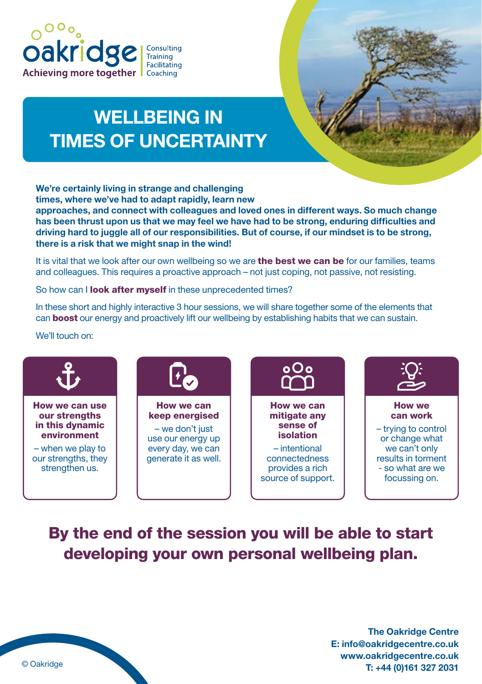

# WELLBEING IN TIMES OF UNCERTAINTY

We're certainly living in strange and challenging times, where we've had to adapt rapidly, learn new approaches, and connect with colleagues and loved ones in different ways. So much change has been thrust upon us that we may feel we have had to be strong, enduring difficulties and driving hard to juggle all of our responsibilities. But of course, if our mindset is to be strong, there is a risk that we might snap in the wind!

It is vital that we look after our own wellbeing so we are the best we can be for our families, teams and colleagues. This requires a proactive approach – not just coping, not passive, not resisting.

So how can I **look after myself** in these unprecedented times?

In these short and highly interactive 3 hour sessions, we will share together some of the elements that can **boost** our energy and proactively lift our wellbeing by establishing habits that we can sustain.

#### We'll touch on:



# By the end of the session you will be able to start developing your own personal wellbeing plan.

The Oakridge Centre E: info@oakridgecentre.co.uk www.oakridgecentre.co.uk © Oakridge **T:** +44 (0)161 327 2031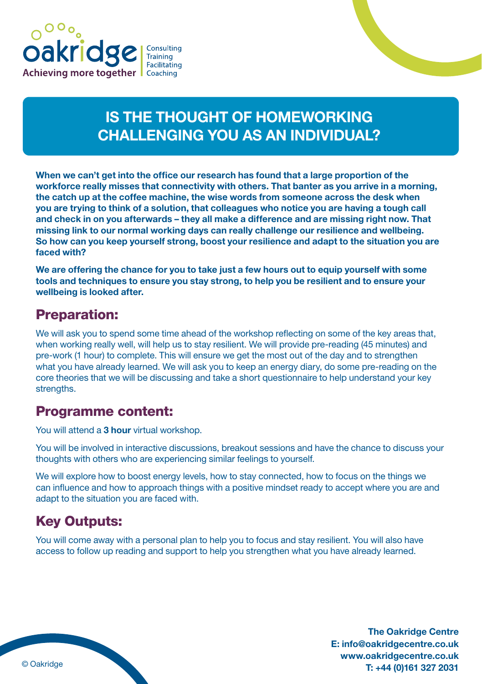



# IS THE THOUGHT OF HOMEWORKING CHALLENGING YOU AS AN INDIVIDUAL?

When we can't get into the office our research has found that a large proportion of the workforce really misses that connectivity with others. That banter as you arrive in a morning, the catch up at the coffee machine, the wise words from someone across the desk when you are trying to think of a solution, that colleagues who notice you are having a tough call and check in on you afterwards – they all make a difference and are missing right now. That missing link to our normal working days can really challenge our resilience and wellbeing. So how can you keep yourself strong, boost your resilience and adapt to the situation you are faced with?

We are offering the chance for you to take just a few hours out to equip yourself with some tools and techniques to ensure you stay strong, to help you be resilient and to ensure your wellbeing is looked after.

### Preparation:

We will ask you to spend some time ahead of the workshop reflecting on some of the key areas that, when working really well, will help us to stay resilient. We will provide pre-reading (45 minutes) and pre-work (1 hour) to complete. This will ensure we get the most out of the day and to strengthen what you have already learned. We will ask you to keep an energy diary, do some pre-reading on the core theories that we will be discussing and take a short questionnaire to help understand your key strengths.

### Programme content:

You will attend a 3 hour virtual workshop.

You will be involved in interactive discussions, breakout sessions and have the chance to discuss your thoughts with others who are experiencing similar feelings to yourself.

We will explore how to boost energy levels, how to stay connected, how to focus on the things we can influence and how to approach things with a positive mindset ready to accept where you are and adapt to the situation you are faced with.

# Key Outputs:

You will come away with a personal plan to help you to focus and stay resilient. You will also have access to follow up reading and support to help you strengthen what you have already learned.

The Oakridge Centre E: info@oakridgecentre.co.uk www.oakridgecentre.co.uk T: +44 (0)161 327 2031 © Oakridge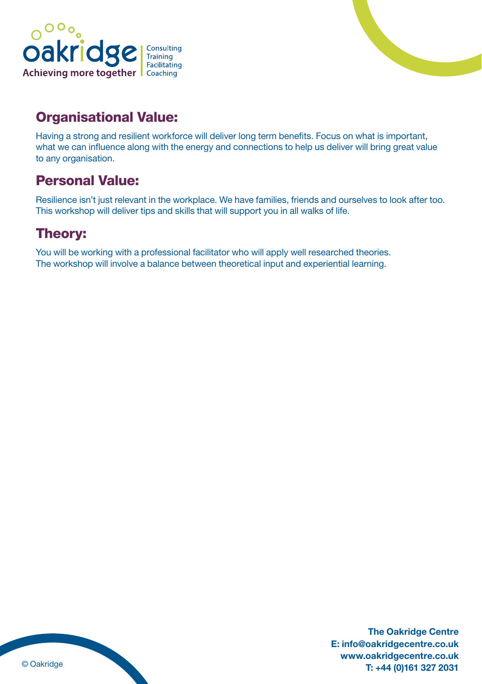



# Organisational Value:

Having a strong and resilient workforce will deliver long term benefits. Focus on what is important, what we can influence along with the energy and connections to help us deliver will bring great value to any organisation.

# Personal Value:

Resilience isn't just relevant in the workplace. We have families, friends and ourselves to look after too. This workshop will deliver tips and skills that will support you in all walks of life.

# Theory:

You will be working with a professional facilitator who will apply well researched theories. The workshop will involve a balance between theoretical input and experiential learning.

The Oakridge Centre E: info@oakridgecentre.co.uk www.oakridgecentre.co.uk © Oakridge **T:** +44 (0)161 327 2031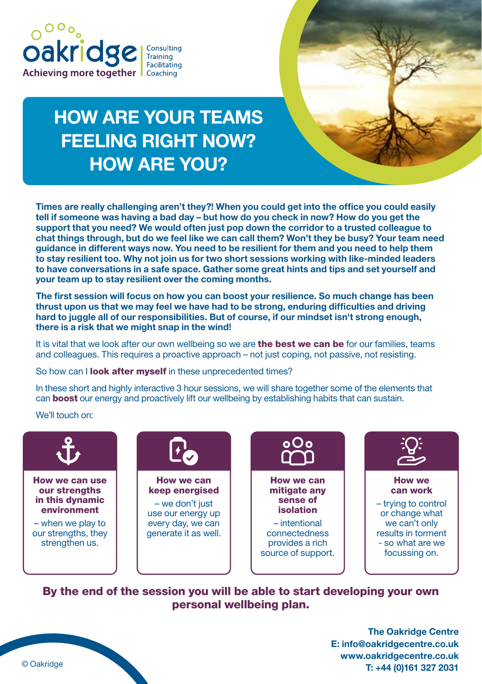



# HOW ARE YOUR TEAMS FEELING RIGHT NOW? HOW ARE YOU?

Times are really challenging aren't they?! When you could get into the office you could easily tell if someone was having a bad day – but how do you check in now? How do you get the support that you need? We would often just pop down the corridor to a trusted colleague to chat things through, but do we feel like we can call them? Won't they be busy? Your team need guidance in different ways now. You need to be resilient for them and you need to help them to stay resilient too. Why not join us for two short sessions working with like-minded leaders to have conversations in a safe space. Gather some great hints and tips and set yourself and your team up to stay resilient over the coming months.

The first session will focus on how you can boost your resilience. So much change has been thrust upon us that we may feel we have had to be strong, enduring difficulties and driving hard to juggle all of our responsibilities. But of course, if our mindset isn't strong enough, there is a risk that we might snap in the wind!

It is vital that we look after our own wellbeing so we are **the best we can be** for our families, teams and colleagues. This requires a proactive approach – not just coping, not passive, not resisting.

So how can I **look after myself** in these unprecedented times?

In these short and highly interactive 3 hour sessions, we will share together some of the elements that can **boost** our energy and proactively lift our wellbeing by establishing habits that can sustain.

We'll touch on:



By the end of the session you will be able to start developing your own personal wellbeing plan.



The Oakridge Centre E: info@oakridgecentre.co.uk www.oakridgecentre.co.uk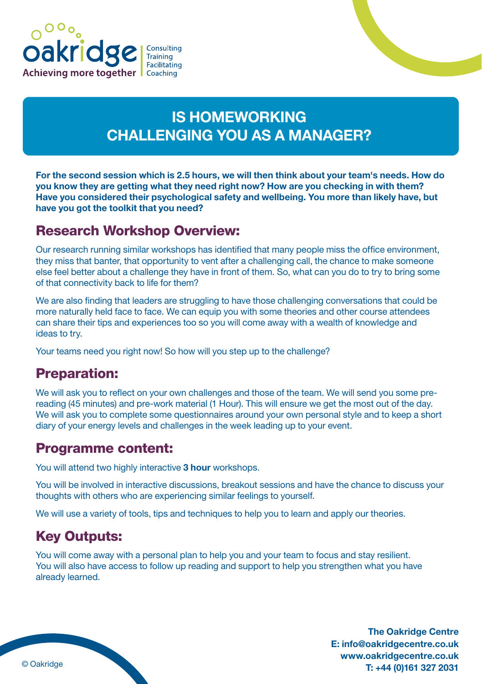



# IS HOMEWORKING CHALLENGING YOU AS A MANAGER?

For the second session which is 2.5 hours, we will then think about your team's needs. How do you know they are getting what they need right now? How are you checking in with them? Have you considered their psychological safety and wellbeing. You more than likely have, but have you got the toolkit that you need?

### Research Workshop Overview:

Our research running similar workshops has identified that many people miss the office environment, they miss that banter, that opportunity to vent after a challenging call, the chance to make someone else feel better about a challenge they have in front of them. So, what can you do to try to bring some of that connectivity back to life for them?

We are also finding that leaders are struggling to have those challenging conversations that could be more naturally held face to face. We can equip you with some theories and other course attendees can share their tips and experiences too so you will come away with a wealth of knowledge and ideas to try.

Your teams need you right now! So how will you step up to the challenge?

### Preparation:

We will ask you to reflect on your own challenges and those of the team. We will send you some prereading (45 minutes) and pre-work material (1 Hour). This will ensure we get the most out of the day. We will ask you to complete some questionnaires around your own personal style and to keep a short diary of your energy levels and challenges in the week leading up to your event.

#### Programme content:

You will attend two highly interactive 3 hour workshops.

You will be involved in interactive discussions, breakout sessions and have the chance to discuss your thoughts with others who are experiencing similar feelings to yourself.

We will use a variety of tools, tips and techniques to help you to learn and apply our theories.

# Key Outputs:

You will come away with a personal plan to help you and your team to focus and stay resilient. You will also have access to follow up reading and support to help you strengthen what you have already learned.

The Oakridge Centre E: info@oakridgecentre.co.uk www.oakridgecentre.co.uk T: +44 (0)161 327 2031 © Oakridge